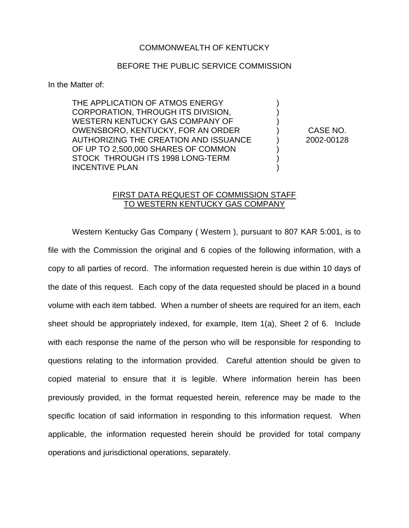## COMMONWEALTH OF KENTUCKY

## BEFORE THE PUBLIC SERVICE COMMISSION

In the Matter of:

THE APPLICATION OF ATMOS ENERGY CORPORATION, THROUGH ITS DIVISION, WESTERN KENTUCKY GAS COMPANY OF OWENSBORO, KENTUCKY, FOR AN ORDER AUTHORIZING THE CREATION AND ISSUANCE OF UP TO 2,500,000 SHARES OF COMMON STOCK THROUGH ITS 1998 LONG-TERM INCENTIVE PLAN

) CASE NO. ) 2002-00128

) ) )

) ) )

## FIRST DATA REQUEST OF COMMISSION STAFF TO WESTERN KENTUCKY GAS COMPANY

Western Kentucky Gas Company ( Western ), pursuant to 807 KAR 5:001, is to file with the Commission the original and 6 copies of the following information, with a copy to all parties of record. The information requested herein is due within 10 days of the date of this request. Each copy of the data requested should be placed in a bound volume with each item tabbed. When a number of sheets are required for an item, each sheet should be appropriately indexed, for example, Item 1(a), Sheet 2 of 6. Include with each response the name of the person who will be responsible for responding to questions relating to the information provided. Careful attention should be given to copied material to ensure that it is legible. Where information herein has been previously provided, in the format requested herein, reference may be made to the specific location of said information in responding to this information request. When applicable, the information requested herein should be provided for total company operations and jurisdictional operations, separately.